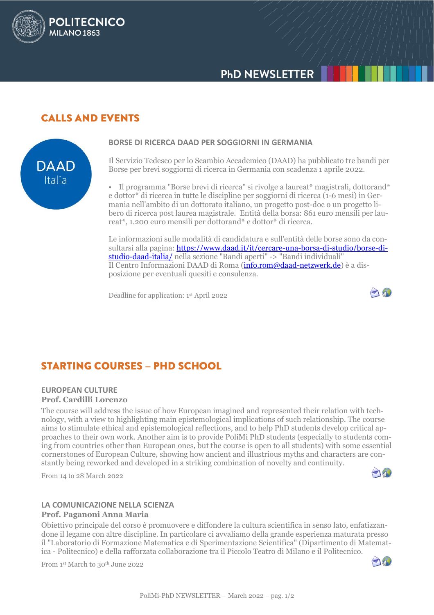# **PHD NEWSLETTER**

## **CALLS AND EVENTS**

**POLITECNICO** 

MILANO<sub>1863</sub>



#### **BORSE DI RICERCA DAAD PER SOGGIORNI IN GERMANIA**

Il Servizio Tedesco per lo Scambio Accademico (DAAD) ha pubblicato tre bandi per Borse per brevi soggiorni di ricerca in Germania con scadenza 1 aprile 2022.

• Il programma "Borse brevi di ricerca" si rivolge a laureat\* magistrali, dottorand\* e dottor\* di ricerca in tutte le discipline per soggiorni di ricerca (1-6 mesi) in Germania nell'ambito di un dottorato italiano, un progetto post-doc o un progetto libero di ricerca post laurea magistrale. Entità della borsa: 861 euro mensili per laureat\*, 1.200 euro mensili per dottorand\* e dottor\* di ricerca.

Le informazioni sulle modalità di candidatura e sull'entità delle borse sono da consultarsi alla pagina: [https://www.daad.it/it/cercare-una-borsa-di-studio/borse-di](https://www.daad.it/it/cercare-una-borsa-di-studio/borse-di-studio-daad-italia/)[studio-daad-italia/](https://www.daad.it/it/cercare-una-borsa-di-studio/borse-di-studio-daad-italia/) nella sezione "Bandi aperti" -> "Bandi individuali" Il Centro Informazioni DAAD di Roma [\(info.rom@daad-netzwerk.de\)](mailto:info.rom@daad-netzwerk.de) è a disposizione per eventuali quesiti e consulenza.

Deadline for application: 1 st April 2022



# **STARTING COURSES - PHD SCHOOL**

#### **EUROPEAN CULTURE Prof. Cardilli Lorenzo**

The course will address the issue of how European imagined and represented their relation with technology, with a view to highlighting main epistemological implications of such relationship. The course aims to stimulate ethical and epistemological reflections, and to help PhD students develop critical approaches to their own work. Another aim is to provide PoliMi PhD students (especially to students coming from countries other than European ones, but the course is open to all students) with some essential cornerstones of European Culture, showing how ancient and illustrious myths and characters are constantly being reworked and developed in a striking combination of novelty and continuity.

From 14 to 28 March 2022



### **LA COMUNICAZIONE NELLA SCIENZA**

#### **Prof. Paganoni Anna Maria**

Obiettivo principale del corso è promuovere e diffondere la cultura scientifica in senso lato, enfatizzandone il legame con altre discipline. In particolare ci avvaliamo della grande esperienza maturata presso il "Laboratorio di Formazione Matematica e di Sperimentazione Scientifica" (Dipartimento di Matematica - Politecnico) e della rafforzata collaborazione tra il Piccolo Teatro di Milano e il Politecnico.

From 1st March to 30<sup>th</sup> June 2022